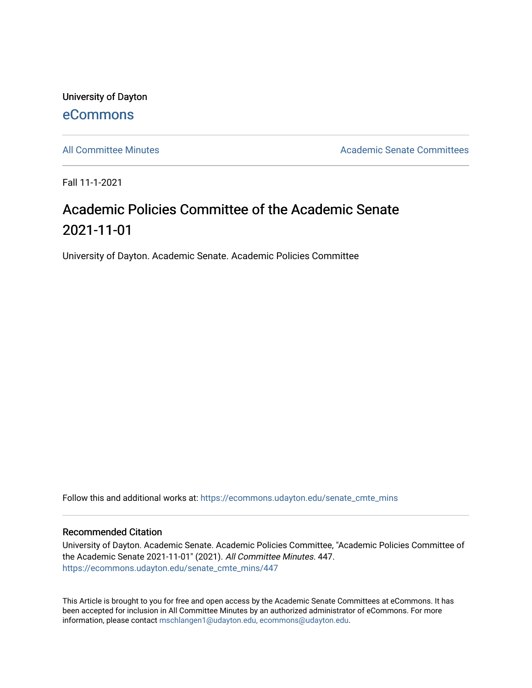University of Dayton [eCommons](https://ecommons.udayton.edu/)

[All Committee Minutes](https://ecommons.udayton.edu/senate_cmte_mins) Academic Senate Committees

Fall 11-1-2021

## Academic Policies Committee of the Academic Senate 2021-11-01

University of Dayton. Academic Senate. Academic Policies Committee

Follow this and additional works at: [https://ecommons.udayton.edu/senate\\_cmte\\_mins](https://ecommons.udayton.edu/senate_cmte_mins?utm_source=ecommons.udayton.edu%2Fsenate_cmte_mins%2F447&utm_medium=PDF&utm_campaign=PDFCoverPages)

## Recommended Citation

University of Dayton. Academic Senate. Academic Policies Committee, "Academic Policies Committee of the Academic Senate 2021-11-01" (2021). All Committee Minutes. 447. [https://ecommons.udayton.edu/senate\\_cmte\\_mins/447](https://ecommons.udayton.edu/senate_cmte_mins/447?utm_source=ecommons.udayton.edu%2Fsenate_cmte_mins%2F447&utm_medium=PDF&utm_campaign=PDFCoverPages)

This Article is brought to you for free and open access by the Academic Senate Committees at eCommons. It has been accepted for inclusion in All Committee Minutes by an authorized administrator of eCommons. For more information, please contact [mschlangen1@udayton.edu, ecommons@udayton.edu](mailto:mschlangen1@udayton.edu,%20ecommons@udayton.edu).